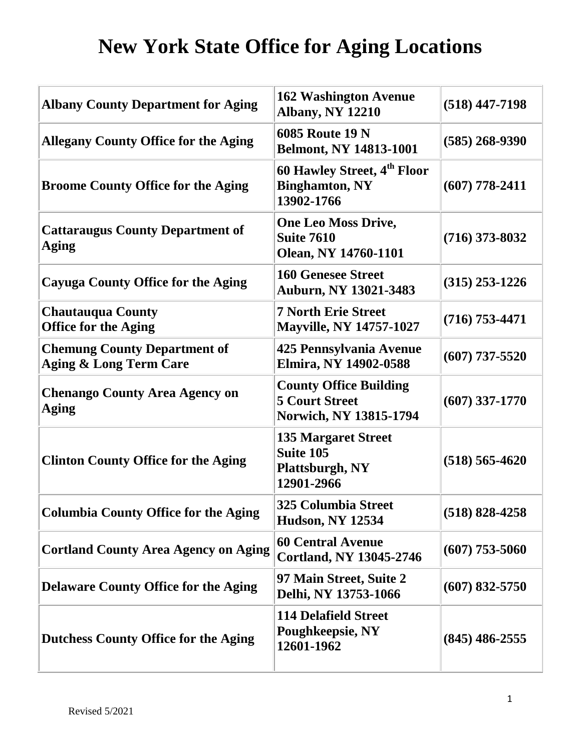| <b>Albany County Department for Aging</b>                                | <b>162 Washington Avenue</b><br><b>Albany, NY 12210</b>                                 | $(518)$ 447-7198   |
|--------------------------------------------------------------------------|-----------------------------------------------------------------------------------------|--------------------|
| <b>Allegany County Office for the Aging</b>                              | <b>6085 Route 19 N</b><br><b>Belmont, NY 14813-1001</b>                                 | $(585)$ 268-9390   |
| <b>Broome County Office for the Aging</b>                                | 60 Hawley Street, 4 <sup>th</sup> Floor<br><b>Binghamton, NY</b><br>13902-1766          | $(607)$ 778-2411   |
| <b>Cattaraugus County Department of</b><br><b>Aging</b>                  | <b>One Leo Moss Drive,</b><br><b>Suite 7610</b><br><b>Olean, NY 14760-1101</b>          | $(716)$ 373-8032   |
| <b>Cayuga County Office for the Aging</b>                                | <b>160 Genesee Street</b><br><b>Auburn, NY 13021-3483</b>                               | $(315)$ 253-1226   |
| <b>Chautauqua County</b><br><b>Office for the Aging</b>                  | <b>7 North Erie Street</b><br><b>Mayville, NY 14757-1027</b>                            | $(716) 753 - 4471$ |
| <b>Chemung County Department of</b><br><b>Aging &amp; Long Term Care</b> | 425 Pennsylvania Avenue<br>Elmira, NY 14902-0588                                        | $(607)$ 737-5520   |
| <b>Chenango County Area Agency on</b><br>Aging                           | <b>County Office Building</b><br><b>5 Court Street</b><br><b>Norwich, NY 13815-1794</b> | $(607)$ 337-1770   |
| <b>Clinton County Office for the Aging</b>                               | <b>135 Margaret Street</b><br><b>Suite 105</b><br>Plattsburgh, NY<br>12901-2966         | $(518) 565 - 4620$ |
| <b>Columbia County Office for the Aging</b>                              | <b>325 Columbia Street</b><br><b>Hudson, NY 12534</b>                                   | $(518) 828 - 4258$ |
| <b>Cortland County Area Agency on Aging</b>                              | <b>60 Central Avenue</b><br><b>Cortland, NY 13045-2746</b>                              | $(607)$ 753-5060   |
| <b>Delaware County Office for the Aging</b>                              | 97 Main Street, Suite 2<br>Delhi, NY 13753-1066                                         | $(607) 832 - 5750$ |
| <b>Dutchess County Office for the Aging</b>                              | <b>114 Delafield Street</b><br>Poughkeepsie, NY<br>12601-1962                           | $(845)$ 486-2555   |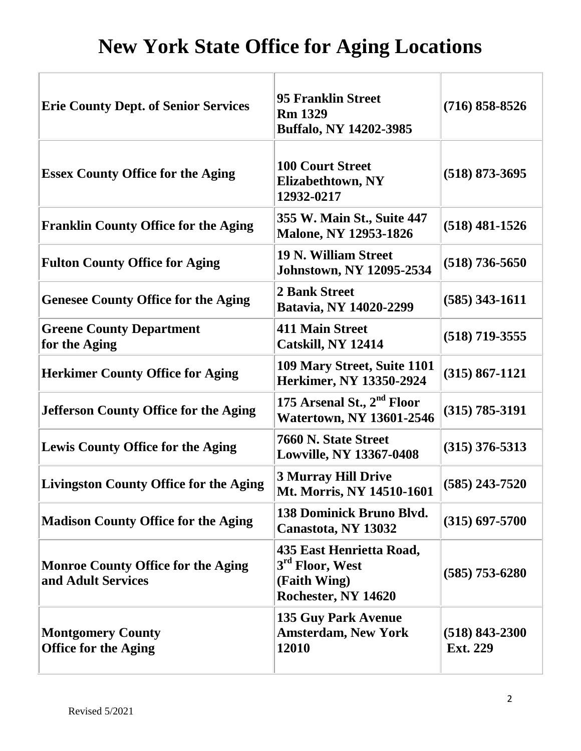| <b>Erie County Dept. of Senior Services</b>                     | <b>95 Franklin Street</b><br><b>Rm 1329</b><br><b>Buffalo, NY 14202-3985</b>                   | $(716) 858 - 8526$                    |
|-----------------------------------------------------------------|------------------------------------------------------------------------------------------------|---------------------------------------|
| <b>Essex County Office for the Aging</b>                        | <b>100 Court Street</b><br>Elizabethtown, NY<br>12932-0217                                     | $(518)$ 873-3695                      |
| <b>Franklin County Office for the Aging</b>                     | 355 W. Main St., Suite 447<br><b>Malone, NY 12953-1826</b>                                     | $(518)$ 481-1526                      |
| <b>Fulton County Office for Aging</b>                           | <b>19 N. William Street</b><br><b>Johnstown, NY 12095-2534</b>                                 | $(518)$ 736-5650                      |
| <b>Genesee County Office for the Aging</b>                      | <b>2 Bank Street</b><br>Batavia, NY 14020-2299                                                 | $(585)$ 343-1611                      |
| <b>Greene County Department</b><br>for the Aging                | <b>411 Main Street</b><br>Catskill, NY 12414                                                   | $(518)$ 719-3555                      |
| <b>Herkimer County Office for Aging</b>                         | 109 Mary Street, Suite 1101<br>Herkimer, NY 13350-2924                                         | $(315) 867 - 1121$                    |
| <b>Jefferson County Office for the Aging</b>                    | 175 Arsenal St., 2 <sup>nd</sup> Floor<br><b>Watertown, NY 13601-2546</b>                      | $(315) 785 - 3191$                    |
| <b>Lewis County Office for the Aging</b>                        | 7660 N. State Street<br><b>Lowville, NY 13367-0408</b>                                         | $(315)$ 376-5313                      |
| <b>Livingston County Office for the Aging</b>                   | <b>3 Murray Hill Drive</b><br>Mt. Morris, NY 14510-1601                                        | $(585)$ 243-7520                      |
| <b>Madison County Office for the Aging</b>                      | 138 Dominick Bruno Blvd.<br>Canastota, NY 13032                                                | $(315) 697 - 5700$                    |
| <b>Monroe County Office for the Aging</b><br>and Adult Services | 435 East Henrietta Road,<br>3 <sup>rd</sup> Floor, West<br>(Faith Wing)<br>Rochester, NY 14620 | $(585)$ 753-6280                      |
| <b>Montgomery County</b><br><b>Office for the Aging</b>         | <b>135 Guy Park Avenue</b><br><b>Amsterdam, New York</b><br>12010                              | $(518) 843 - 2300$<br><b>Ext. 229</b> |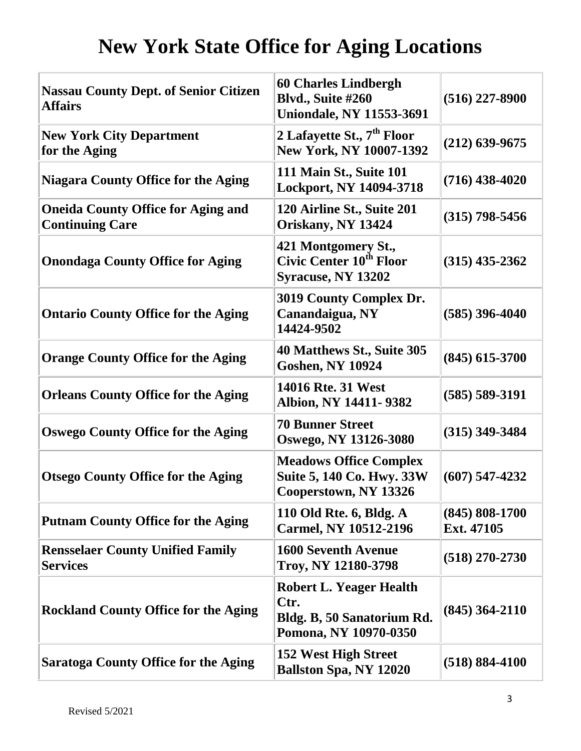| <b>Nassau County Dept. of Senior Citizen</b><br><b>Affairs</b>      | <b>60 Charles Lindbergh</b><br>Blvd., Suite #260<br><b>Uniondale, NY 11553-3691</b>           | $(516)$ 227-8900                 |
|---------------------------------------------------------------------|-----------------------------------------------------------------------------------------------|----------------------------------|
| <b>New York City Department</b><br>for the Aging                    | 2 Lafayette St., 7 <sup>th</sup> Floor<br>New York, NY 10007-1392                             | $(212)$ 639-9675                 |
| <b>Niagara County Office for the Aging</b>                          | <b>111 Main St., Suite 101</b><br>Lockport, NY 14094-3718                                     | $(716)$ 438-4020                 |
| <b>Oneida County Office for Aging and</b><br><b>Continuing Care</b> | 120 Airline St., Suite 201<br>Oriskany, NY 13424                                              | $(315)$ 798-5456                 |
| <b>Onondaga County Office for Aging</b>                             | 421 Montgomery St.,<br>Civic Center 10 <sup>th</sup> Floor<br><b>Syracuse, NY 13202</b>       | $(315)$ 435-2362                 |
| <b>Ontario County Office for the Aging</b>                          | 3019 County Complex Dr.<br>Canandaigua, NY<br>14424-9502                                      | $(585)$ 396-4040                 |
| <b>Orange County Office for the Aging</b>                           | 40 Matthews St., Suite 305<br><b>Goshen, NY 10924</b>                                         | $(845)$ 615-3700                 |
| <b>Orleans County Office for the Aging</b>                          | 14016 Rte. 31 West<br>Albion, NY 14411-9382                                                   | $(585) 589 - 3191$               |
| <b>Oswego County Office for the Aging</b>                           | <b>70 Bunner Street</b><br>Oswego, NY 13126-3080                                              | $(315)$ 349-3484                 |
| <b>Otsego County Office for the Aging</b>                           | <b>Meadows Office Complex</b><br>Suite 5, 140 Co. Hwy. 33W<br>Cooperstown, NY 13326           | $(607)$ 547-4232                 |
| <b>Putnam County Office for the Aging</b>                           | 110 Old Rte. 6, Bldg. A<br><b>Carmel, NY 10512-2196</b>                                       | $(845) 808 - 1700$<br>Ext. 47105 |
| <b>Rensselaer County Unified Family</b><br><b>Services</b>          | <b>1600 Seventh Avenue</b><br>Troy, NY 12180-3798                                             | $(518)$ 270-2730                 |
| <b>Rockland County Office for the Aging</b>                         | <b>Robert L. Yeager Health</b><br>Ctr.<br>Bldg. B, 50 Sanatorium Rd.<br>Pomona, NY 10970-0350 | $(845)$ 364-2110                 |
| <b>Saratoga County Office for the Aging</b>                         | 152 West High Street<br><b>Ballston Spa, NY 12020</b>                                         | $(518) 884 - 4100$               |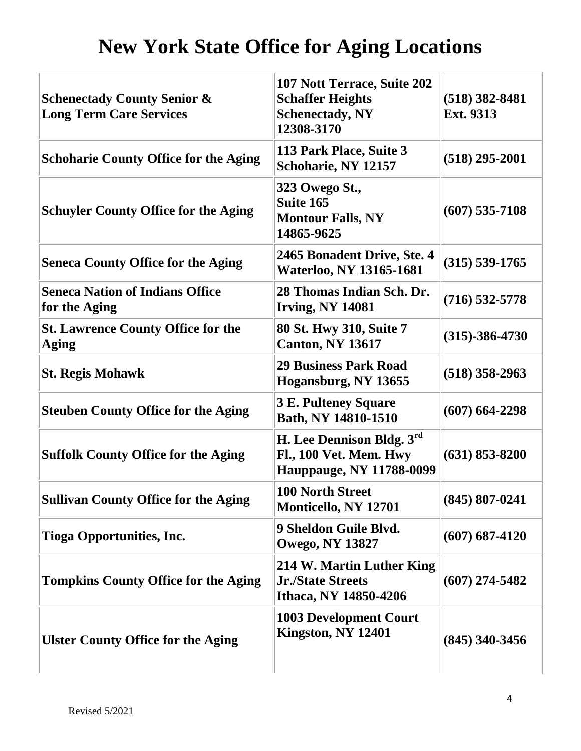| <b>Schenectady County Senior &amp;</b><br><b>Long Term Care Services</b> | 107 Nott Terrace, Suite 202<br><b>Schaffer Heights</b><br><b>Schenectady, NY</b><br>12308-3170 | $(518)$ 382-8481<br><b>Ext. 9313</b> |
|--------------------------------------------------------------------------|------------------------------------------------------------------------------------------------|--------------------------------------|
| <b>Schoharie County Office for the Aging</b>                             | 113 Park Place, Suite 3<br>Schoharie, NY 12157                                                 | $(518)$ 295-2001                     |
| <b>Schuyler County Office for the Aging</b>                              | 323 Owego St.,<br>Suite 165<br><b>Montour Falls, NY</b><br>14865-9625                          | $(607)$ 535-7108                     |
| <b>Seneca County Office for the Aging</b>                                | 2465 Bonadent Drive, Ste. 4<br><b>Waterloo, NY 13165-1681</b>                                  | $(315) 539 - 1765$                   |
| <b>Seneca Nation of Indians Office</b><br>for the Aging                  | 28 Thomas Indian Sch. Dr.<br><b>Irving, NY 14081</b>                                           | $(716)$ 532-5778                     |
| <b>St. Lawrence County Office for the</b><br>Aging                       | 80 St. Hwy 310, Suite 7<br><b>Canton, NY 13617</b>                                             | $(315)-386-4730$                     |
| <b>St. Regis Mohawk</b>                                                  | <b>29 Business Park Road</b><br>Hogansburg, NY 13655                                           | $(518)$ 358-2963                     |
| <b>Steuben County Office for the Aging</b>                               | <b>3 E. Pulteney Square</b><br>Bath, NY 14810-1510                                             | $(607) 664 - 2298$                   |
| <b>Suffolk County Office for the Aging</b>                               | H. Lee Dennison Bldg. 3rd<br><b>Fl., 100 Vet. Mem. Hwy</b><br><b>Hauppauge, NY 11788-0099</b>  | $(631)$ 853-8200                     |
| <b>Sullivan County Office for the Aging</b>                              | 100 North Street<br>Monticello, NY 12701                                                       | $(845) 807 - 0241$                   |
| <b>Tioga Opportunities, Inc.</b>                                         | 9 Sheldon Guile Blvd.<br><b>Owego, NY 13827</b>                                                | $(607) 687 - 4120$                   |
| <b>Tompkins County Office for the Aging</b>                              | 214 W. Martin Luther King<br><b>Jr./State Streets</b><br>Ithaca, NY 14850-4206                 | $(607)$ 274-5482                     |
| <b>Ulster County Office for the Aging</b>                                | <b>1003 Development Court</b><br>Kingston, NY 12401                                            | $(845)$ 340-3456                     |